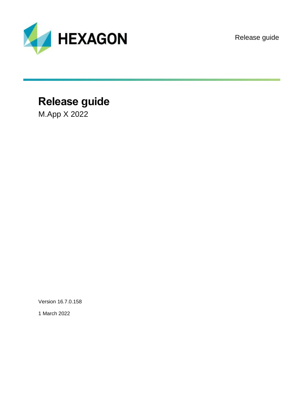

Release guide

# **Release guide**

M.App X 2022

Version 16.7.0.158

1 March 2022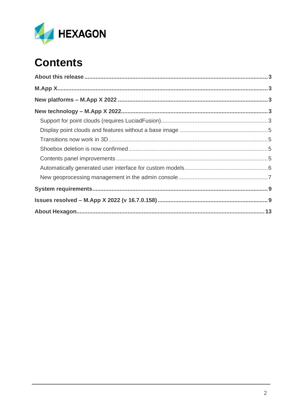

# **Contents**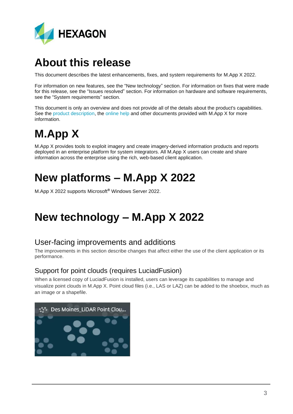

# <span id="page-2-0"></span>**About this release**

This document describes the latest enhancements, fixes, and system requirements for M.App X 2022.

For information on new features, see the "New technology" section. For information on fixes that were made for this release, see the "Issues resolved" section. For information on hardware and software requirements, see the "System requirements" section.

This document is only an overview and does not provide all of the details about the product's capabilities. See the [product description,](https://bynder.hexagon.com/m/49c7f47fbb6c133a/original/Hexagon_GSP_MApp_X_Product_Description.pdf) the [online help](https://hexagongeospatial.fluidtopics.net/search/all?filters=HGD_Product~%2522M.App+X%2522&content-lang=en-US) and other documents provided with M.App X for more information.

# <span id="page-2-1"></span>**M.App X**

M.App X provides tools to exploit imagery and create imagery-derived information products and reports deployed in an enterprise platform for system integrators. All M.App X users can create and share information across the enterprise using the rich, web-based client application.

# <span id="page-2-2"></span>**New platforms – M.App X 2022**

M.App X 2022 supports Microsoft® Windows Server 2022.

# <span id="page-2-3"></span>**New technology – M.App X 2022**

## User-facing improvements and additions

The improvements in this section describe changes that affect either the use of the client application or its performance.

### <span id="page-2-4"></span>Support for point clouds (requires LuciadFusion)

When a licensed copy of LuciadFusion is installed, users can leverage its capabilities to manage and visualize point clouds in M.App X. Point cloud files (i.e., LAS or LAZ) can be added to the shoebox, much as an image or a shapefile.

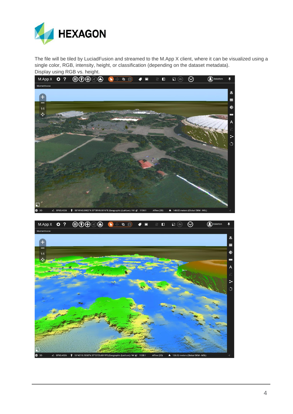

The file will be tiled by LuciadFusion and streamed to the M.App X client, where it can be visualized using a single color, RGB, intensity, height, or classification (depending on the dataset metadata). Display using RGB vs. height.



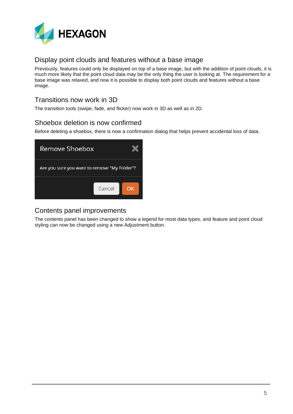

### <span id="page-4-0"></span>Display point clouds and features without a base image

Previously, features could only be displayed on top of a base image, but with the addition of point clouds, it is much more likely that the point cloud data may be the only thing the user is looking at. The requirement for a base image was relaxed, and now it is possible to display both point clouds and features without a base image.

### <span id="page-4-1"></span>Transitions now work in 3D

The transition tools (swipe, fade, and flicker) now work in 3D as well as in 2D.

### <span id="page-4-2"></span>Shoebox deletion is now confirmed

Before deleting a shoebox, there is now a confirmation dialog that helps prevent accidental loss of data.

| Remove Shoebox                               |        |    |
|----------------------------------------------|--------|----|
| Are you sure you want to remove "My Folder"? |        |    |
|                                              | Cancel | OK |

#### <span id="page-4-3"></span>Contents panel improvements

The contents panel has been changed to show a legend for most data types, and feature and point cloud styling can now be changed using a new Adjustment button.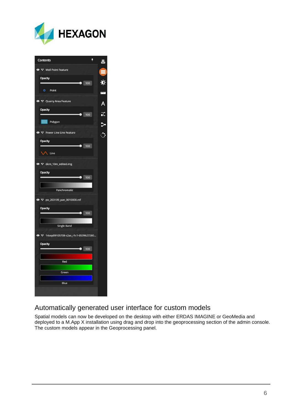



### <span id="page-5-0"></span>Automatically generated user interface for custom models

Spatial models can now be developed on the desktop with either ERDAS IMAGINE or GeoMedia and deployed to a M.App X installation using drag and drop into the geoprocessing section of the admin console. The custom models appear in the Geoprocessing panel.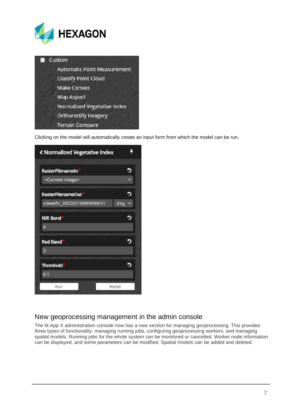



Clicking on the model will automatically create an input form from which the model can be run.

| く Normalized Vegetative Index |       |
|-------------------------------|-------|
|                               |       |
| RasterFilenameIn*             |       |
| <current image=""></current>  |       |
| <b>RasterFilenameOut</b>      |       |
| ndvwthr_20220210080956631     | .img  |
| <b>NIR Band*</b>              | 5     |
| Δ                             |       |
| Red Band*                     | Б     |
| 3                             |       |
| <b>Threshold*</b>             | э     |
| 0.1                           |       |
| Run                           | Reset |
|                               |       |

#### <span id="page-6-0"></span>New geoprocessing management in the admin console

The M.App X administration console now has a new section for managing geoprocessing. This provides three types of functionality: managing running jobs, configuring geoprocessing workers, and managing spatial models. Running jobs for the whole system can be monitored or cancelled. Worker node information can be displayed, and some parameters can be modified. Spatial models can be added and deleted.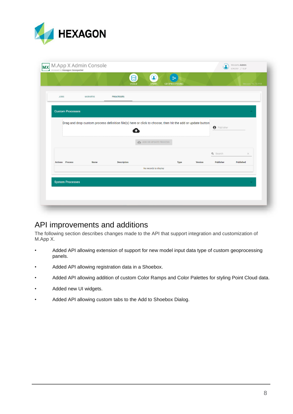

| JOBS                    | <b>WORKERS</b>          | <b>PROCESSES</b>                                                                                           |                       |      |         |                    |           |
|-------------------------|-------------------------|------------------------------------------------------------------------------------------------------------|-----------------------|------|---------|--------------------|-----------|
| <b>Custom Processes</b> |                         |                                                                                                            |                       |      |         |                    |           |
|                         |                         |                                                                                                            |                       |      |         |                    |           |
|                         |                         | Drag and drop custom process definition file(s) here or click to choose, then hit the add or update button |                       |      |         | <b>O</b> Publisher |           |
|                         |                         |                                                                                                            |                       |      |         |                    |           |
|                         |                         |                                                                                                            | ADD OR UPDATE PROCESS |      |         |                    |           |
|                         |                         |                                                                                                            |                       |      |         | Q Search           | ×         |
| <b>Actions</b> Process  | Name                    | Description                                                                                                |                       | Type | Version | Publisher          | Published |
|                         |                         |                                                                                                            |                       |      |         |                    |           |
|                         | <b>System Processes</b> |                                                                                                            |                       |      |         |                    |           |
|                         |                         |                                                                                                            | No records to display |      |         |                    |           |

## API improvements and additions

The following section describes changes made to the API that support integration and customization of M.App X.

- Added API allowing extension of support for new model input data type of custom geoprocessing panels.
- Added API allowing registration data in a Shoebox.
- Added API allowing addition of custom Color Ramps and Color Palettes for styling Point Cloud data.
- Added new UI widgets.
- Added API allowing custom tabs to the Add to Shoebox Dialog.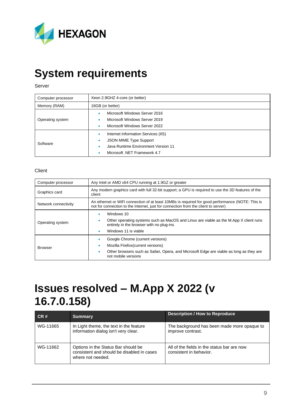

# <span id="page-8-0"></span>**System requirements**

#### Server

| Computer processor | Xeon 2.9GHZ 4-core (or better)                                                                                                                                          |  |  |  |
|--------------------|-------------------------------------------------------------------------------------------------------------------------------------------------------------------------|--|--|--|
| Memory (RAM)       | 16GB (or better)                                                                                                                                                        |  |  |  |
| Operating system   | Microsoft Windows Server 2016<br>۰<br>Microsoft Windows Server 2019<br>۰<br>Microsoft Windows Server 2022<br>۰                                                          |  |  |  |
| Software           | Internet Information Services (IIS)<br>۰<br><b>JSON MIME Type Support</b><br>$\bullet$<br>Java Runtime Environment Version 11<br>۰<br>Microsoft .NET Framework 4.7<br>٠ |  |  |  |

#### **Client**

| Computer processor   | Any Intel or AMD x64 CPU running at 1.9GZ or greater                                                                                                                                               |  |  |  |
|----------------------|----------------------------------------------------------------------------------------------------------------------------------------------------------------------------------------------------|--|--|--|
| Graphics card        | Any modern graphics card with full 32-bit support; a GPU is required to use the 3D features of the<br>client                                                                                       |  |  |  |
| Network connectivity | An ethernet or WiFi connection of at least 10MBs is required for good performance (NOTE: This is<br>not for connection to the Internet, just for connection from the client to server)             |  |  |  |
| Operating system     | Windows 10<br>Other operating systems such as MacOS and Linux are viable as the M.App X client runs<br>٠<br>entirely in the browser with no plug-ins<br>Windows 11 is viable<br>۰                  |  |  |  |
| <b>Browser</b>       | Google Chrome (current versions)<br>Mozilla Firefox (current versions)<br>۰<br>Other browsers such as Safari, Opera, and Microsoft Edge are viable as long as they are<br>۰<br>not mobile versions |  |  |  |

# <span id="page-8-1"></span>**Issues resolved – M.App X 2022 (v 16.7.0.158)**

| CR#      | <b>Summary</b>                                                                                         | <b>Description / How to Reproduce</b>                                  |
|----------|--------------------------------------------------------------------------------------------------------|------------------------------------------------------------------------|
| WG-11665 | In Light theme, the text in the feature<br>information dialog isn't very clear.                        | The background has been made more opaque to<br>improve contrast.       |
| WG-11662 | Options in the Status Bar should be<br>consistent and should be disabled in cases<br>where not needed. | All of the fields in the status bar are now<br>consistent in behavior. |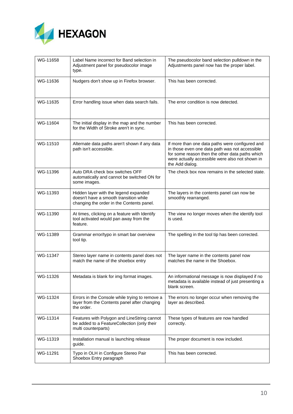

| WG-11658 | Label Name incorrect for Band selection in<br>Adjustment panel for pseudocolor image<br>type.                                | The pseudocolor band selection pulldown in the<br>Adjustments panel now has the proper label.                                                                                                                              |  |
|----------|------------------------------------------------------------------------------------------------------------------------------|----------------------------------------------------------------------------------------------------------------------------------------------------------------------------------------------------------------------------|--|
| WG-11636 | Nudgers don't show up in Firefox browser.                                                                                    | This has been corrected.                                                                                                                                                                                                   |  |
| WG-11635 | Error handling issue when data search fails.                                                                                 | The error condition is now detected.                                                                                                                                                                                       |  |
| WG-11604 | The initial display in the map and the number<br>for the Width of Stroke aren't in sync.                                     | This has been corrected.                                                                                                                                                                                                   |  |
| WG-11510 | Alternate data paths aren't shown if any data<br>path isn't accessible.                                                      | If more than one data paths were configured and<br>in those even one data path was not accessible<br>for some reason then the other data paths which<br>were actually accessible were also not shown in<br>the Add dialog. |  |
| WG-11396 | Auto DRA check box switches OFF<br>automatically and cannot be switched ON for<br>some images.                               | The check box now remains in the selected state.                                                                                                                                                                           |  |
| WG-11393 | Hidden layer with the legend expanded<br>doesn't have a smooth transition while<br>changing the order in the Contents panel. | The layers in the contents panel can now be<br>smoothly rearranged.                                                                                                                                                        |  |
| WG-11390 | At times, clicking on a feature with Identify<br>tool activated would pan away from the<br>feature.                          | The view no longer moves when the identify tool<br>is used.                                                                                                                                                                |  |
| WG-11389 | Grammar error/typo in smart bar overview<br>tool tip.                                                                        | The spelling in the tool tip has been corrected.                                                                                                                                                                           |  |
| WG-11347 | Stereo layer name in contents panel does not<br>match the name of the shoebox entry                                          | The layer name in the contents panel now<br>matches the name in the Shoebox.                                                                                                                                               |  |
| WG-11326 | Metadata is blank for img format images.                                                                                     | An informational message is now displayed if no<br>metadata is available instead of just presenting a<br>blank screen.                                                                                                     |  |
| WG-11324 | Errors in the Console while trying to remove a<br>layer from the Contents panel after changing<br>the order.                 | The errors no longer occur when removing the<br>layer as described.                                                                                                                                                        |  |
| WG-11314 | Features with Polygon and LineString cannot<br>be added to a FeatureCollection (only their<br>multi counterparts)            | These types of features are now handled<br>correctly.                                                                                                                                                                      |  |
| WG-11319 | Installation manual is launching release<br>guide.                                                                           | The proper document is now included.                                                                                                                                                                                       |  |
| WG-11291 | Typo in OLH in Configure Stereo Pair<br>Shoebox Entry paragraph                                                              | This has been corrected.                                                                                                                                                                                                   |  |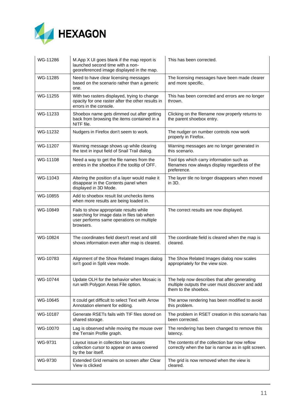

| WG-11286 | M.App X UI goes blank if the map report is<br>launched second time with a non-<br>georeferenced image displayed in the map.                     | This has been corrected.                                                                                                |
|----------|-------------------------------------------------------------------------------------------------------------------------------------------------|-------------------------------------------------------------------------------------------------------------------------|
| WG-11285 | Need to have clear licensing messages<br>based on the scenario rather than a generic<br>one.                                                    | The licensing messages have been made clearer<br>and more specific.                                                     |
| WG-11255 | With two rasters displayed, trying to change<br>opacity for one raster after the other results in<br>errors in the console.                     | This has been corrected and errors are no longer<br>thrown.                                                             |
| WG-11233 | Shoebox name gets dimmed out after getting<br>back from browsing the items contained in a<br>NITF file.                                         | Clicking on the filename now properly returns to<br>the parent shoebox entry.                                           |
| WG-11232 | Nudgers in Firefox don't seem to work.                                                                                                          | The nudger on number controls now work<br>properly in Firefox.                                                          |
| WG-11207 | Warning message shows up while clearing<br>the text in input field of Snail Trail dialog.                                                       | Warning messages are no longer generated in<br>this scenario.                                                           |
| WG-11108 | Need a way to get the file names from the<br>entries in the shoebox if the tooltip of OFF.                                                      | Tool tips which carry information such as<br>filenames now always display regardless of the<br>preference.              |
| WG-11043 | Altering the position of a layer would make it<br>disappear in the Contents panel when<br>displayed in 3D Mode.                                 | The layer tile no longer disappears when moved<br>in 3D.                                                                |
| WG-10855 | Add to shoebox result list unchecks items<br>when more results are being loaded in.                                                             |                                                                                                                         |
| WG-10849 | Fails to show appropriate results while<br>searching for image data in files tab when<br>user performs same operations on multiple<br>browsers. | The correct results are now displayed.                                                                                  |
| WG-10824 | The coordinates field doesn't reset and still<br>shows information even after map is cleared.                                                   | The coordinate field is cleared when the map is<br>cleared.                                                             |
| WG-10783 | Alignment of the Show Related Images dialog<br>isn't good in Split view mode.                                                                   | The Show Related Images dialog now scales<br>appropriately for the view size.                                           |
| WG-10744 | Update OLH for the behavior when Mosaic is<br>run with Polygon Areas File option.                                                               | The help now describes that after generating<br>multiple outputs the user must discover and add<br>them to the shoebox. |
| WG-10645 | It could get difficult to select Text with Arrow<br>Annotation element for editing.                                                             | The arrow rendering has been modified to avoid<br>this problem.                                                         |
| WG-10187 | Generate RSETs fails with TIF files stored on<br>shared storage.                                                                                | The problem in RSET creation in this scenario has<br>been corrected.                                                    |
| WG-10070 | Lag is observed while moving the mouse over<br>the Terrain Profile graph.                                                                       | The rendering has been changed to remove this<br>latency.                                                               |
| WG-9731  | Layout issue in collection bar causes<br>collection cursor to appear on area covered<br>by the bar itself.                                      | The contents of the collection bar now reflow<br>correctly when the bar is narrow as in split screen.                   |
| WG-9730  | Extended Grid remains on screen after Clear<br>View is clicked                                                                                  | The grid is now removed when the view is<br>cleared.                                                                    |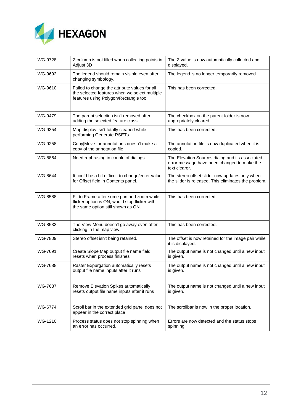

| WG-9728 | Z column is not filled when collecting points in<br>Adjust 3D                                                                            | The Z value is now automatically collected and<br>displayed.                                                    |
|---------|------------------------------------------------------------------------------------------------------------------------------------------|-----------------------------------------------------------------------------------------------------------------|
| WG-9692 | The legend should remain visible even after<br>changing symbology.                                                                       | The legend is no longer temporarily removed.                                                                    |
| WG-9610 | Failed to change the attribute values for all<br>the selected features when we select multiple<br>features using Polygon/Rectangle tool. | This has been corrected.                                                                                        |
| WG-9479 | The parent selection isn't removed after<br>adding the selected feature class.                                                           | The checkbox on the parent folder is now<br>appropriately cleared.                                              |
| WG-9354 | Map display isn't totally cleaned while<br>performing Generate RSETs.                                                                    | This has been corrected.                                                                                        |
| WG-9258 | Copy Move for annotations doesn't make a<br>copy of the annotation file                                                                  | The annotation file is now duplicated when it is<br>copied.                                                     |
| WG-8864 | Need rephrasing in couple of dialogs.                                                                                                    | The Elevation Sources dialog and its associated<br>error message have been changed to make the<br>text clearer. |
| WG-8644 | It could be a bit difficult to change/enter value<br>for Offset field in Contents panel.                                                 | The stereo offset slider now updates only when<br>the slider is released. This eliminates the problem.          |
| WG-8588 | Fit to Frame after some pan and zoom while<br>flicker option is ON, would stop flicker with<br>the same option still shown as ON.        | This has been corrected.                                                                                        |
| WG-8533 | The View Menu doesn't go away even after<br>clicking in the map view.                                                                    | This has been corrected.                                                                                        |
| WG-7809 | Stereo offset isn't being retained.                                                                                                      | The offset is now retained for the image pair while<br>it is displayed.                                         |
| WG-7691 | Create Slope Map output file name field<br>resets when process finishes                                                                  | The output name is not changed until a new input<br>is given.                                                   |
| WG-7688 | Raster Expurgation automatically resets<br>output file name inputs after it runs                                                         | The output name is not changed until a new input<br>is given.                                                   |
| WG-7687 | Remove Elevation Spikes automatically<br>resets output file name inputs after it runs                                                    | The output name is not changed until a new input<br>is given.                                                   |
| WG-6774 | Scroll bar in the extended grid panel does not<br>appear in the correct place                                                            | The scrollbar is now in the proper location.                                                                    |
| WG-1210 | Process status does not stop spinning when<br>an error has occurred.                                                                     | Errors are now detected and the status stops<br>spinning.                                                       |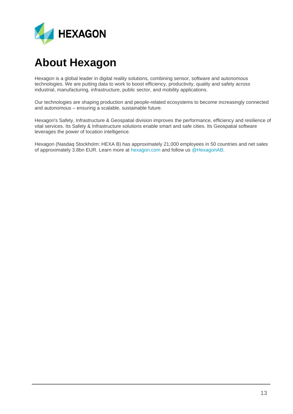

# <span id="page-12-0"></span>**About Hexagon**

Hexagon is a global leader in digital reality solutions, combining sensor, software and autonomous technologies. We are putting data to work to boost efficiency, productivity, quality and safety across industrial, manufacturing, infrastructure, public sector, and mobility applications.

Our technologies are shaping production and people-related ecosystems to become increasingly connected and autonomous – ensuring a scalable, sustainable future.

Hexagon's Safety, Infrastructure & Geospatial division improves the performance, efficiency and resilience of vital services. Its Safety & Infrastructure solutions enable smart and safe cities. Its Geospatial software leverages the power of location intelligence.

Hexagon (Nasdaq Stockholm: HEXA B) has approximately 21,000 employees in 50 countries and net sales of approximately 3.8bn EUR. Learn more at [hexagon.com](https://hexagon.com/) and follow us [@HexagonAB.](https://twitter.com/hexagonab)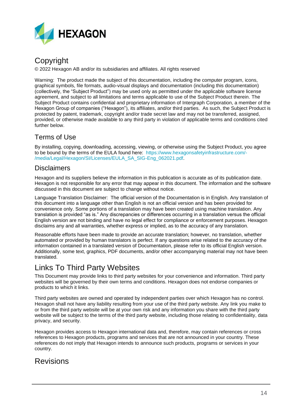

## Copyright

© 2022 Hexagon AB and/or its subsidiaries and affiliates. All rights reserved

Warning: The product made the subject of this documentation, including the computer program, icons, graphical symbols, file formats, audio-visual displays and documentation (including this documentation) (collectively, the "Subject Product") may be used only as permitted under the applicable software license agreement, and subject to all limitations and terms applicable to use of the Subject Product therein. The Subject Product contains confidential and proprietary information of Intergraph Corporation, a member of the Hexagon Group of companies ("Hexagon"), its affiliates, and/or third parties. As such, the Subject Product is protected by patent, trademark, copyright and/or trade secret law and may not be transferred, assigned, provided, or otherwise made available to any third party in violation of applicable terms and conditions cited further below.

### Terms of Use

By installing, copying, downloading, accessing, viewing, or otherwise using the Subject Product, you agree to be bound by the terms of the EULA found here: [https://www.hexagonsafetyinfrastructure.com/-](https://www.hexagonsafetyinfrastructure.com/-/media/Legal/Hexagon/SI/Licenses/EULA_SA_SIG-Eng_062021.pdf) [/media/Legal/Hexagon/SI/Licenses/EULA\\_SA\\_SIG-Eng\\_062021.pdf.](https://www.hexagonsafetyinfrastructure.com/-/media/Legal/Hexagon/SI/Licenses/EULA_SA_SIG-Eng_062021.pdf)

### **Disclaimers**

Hexagon and its suppliers believe the information in this publication is accurate as of its publication date. Hexagon is not responsible for any error that may appear in this document. The information and the software discussed in this document are subject to change without notice.

Language Translation Disclaimer: The official version of the Documentation is in English. Any translation of this document into a language other than English is not an official version and has been provided for convenience only. Some portions of a translation may have been created using machine translation. Any translation is provided "as is." Any discrepancies or differences occurring in a translation versus the official English version are not binding and have no legal effect for compliance or enforcement purposes. Hexagon disclaims any and all warranties, whether express or implied, as to the accuracy of any translation.

Reasonable efforts have been made to provide an accurate translation; however, no translation, whether automated or provided by human translators is perfect. If any questions arise related to the accuracy of the information contained in a translated version of Documentation, please refer to its official English version. Additionally, some text, graphics, PDF documents, and/or other accompanying material may not have been translated.

### Links To Third Party Websites

This Document may provide links to third party websites for your convenience and information. Third party websites will be governed by their own terms and conditions. Hexagon does not endorse companies or products to which it links.

Third party websites are owned and operated by independent parties over which Hexagon has no control. Hexagon shall not have any liability resulting from your use of the third party website. Any link you make to or from the third party website will be at your own risk and any information you share with the third party website will be subject to the terms of the third party website, including those relating to confidentiality, data privacy, and security.

Hexagon provides access to Hexagon international data and, therefore, may contain references or cross references to Hexagon products, programs and services that are not announced in your country. These references do not imply that Hexagon intends to announce such products, programs or services in your country.

### Revisions